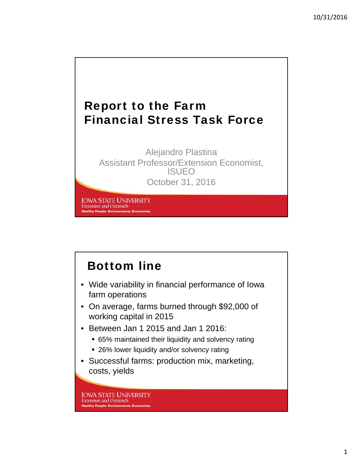

Alejandro Plastina Assistant Professor/Extension Economist, ISUEO October 31, 2016

**IOWA STATE UNIVERSITY Extension and Outreach Healthy People. Environments. Ec** 

# Bottom line

- Wide variability in financial performance of Iowa farm operations
- On average, farms burned through \$92,000 of working capital in 2015
- Between Jan 1 2015 and Jan 1 2016:
	- 65% maintained their liquidity and solvency rating
	- 26% lower liquidity and/or solvency rating
- Successful farms: production mix, marketing, costs, yields

**IOWA STATE UNIVERSITY Extension and Outreach Healthy People. Environments. Economies**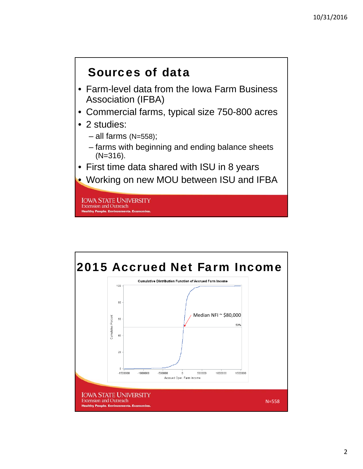#### Sources of data

- Farm-level data from the Iowa Farm Business Association (IFBA)
- Commercial farms, typical size 750-800 acres
- 2 studies:
	- all farms (N=558);
	- farms with beginning and ending balance sheets (N=316).
- First time data shared with ISU in 8 years
- Working on new MOU between ISU and IFBA

**IOWA STATE UNIVERSITY Extension and Outreach Healthy People. Environments. Eco** 

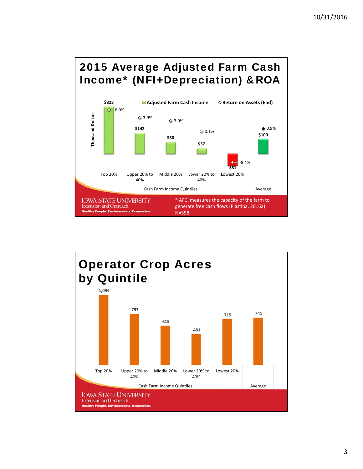#### 2015 Average Adjusted Farm Cash Income\* (NFI+Depreciation) &ROA



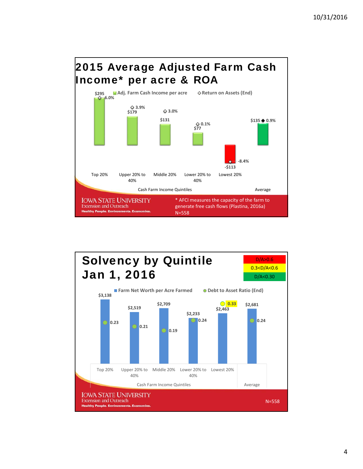

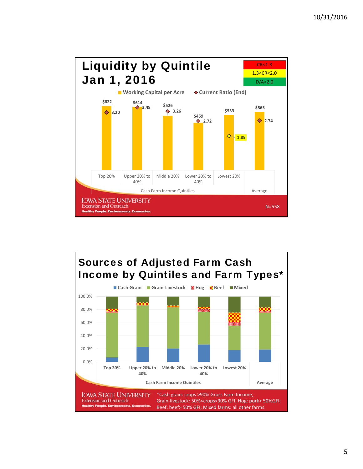

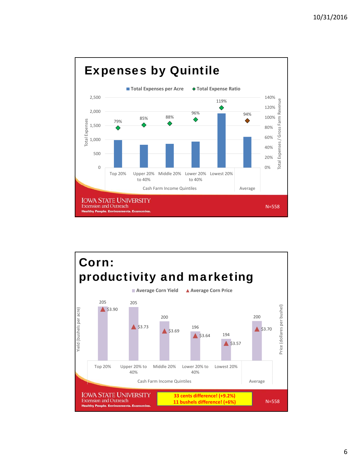

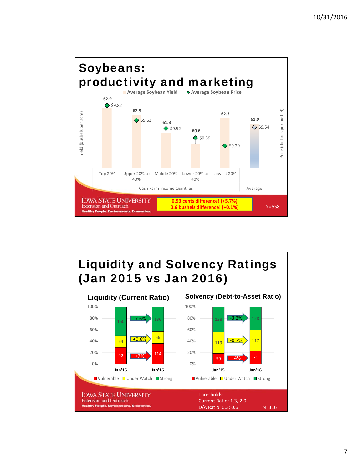

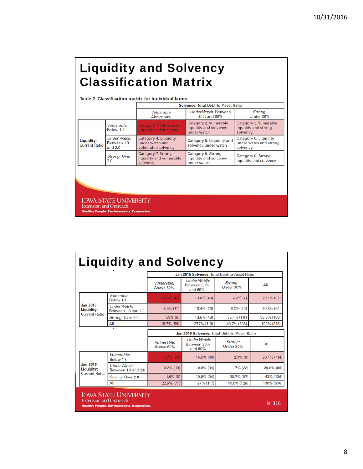## Liquidity and Solvency Classification Matrix

#### Table 2. Classification matrix for individual farms

|                                    |                                          | <b>Solvency: Total Debt-to-Asset Ratio</b>                      |                                                                 |                                                             |  |
|------------------------------------|------------------------------------------|-----------------------------------------------------------------|-----------------------------------------------------------------|-------------------------------------------------------------|--|
|                                    |                                          | Vulnerable:<br>Above 60%                                        | Under Watch: Between<br>30% and 60%                             | Strong:<br>Under 30%                                        |  |
| Liquidity:<br><b>Current Ratio</b> | Vulnerable:<br>Below 1.3                 | Category 1. Vulnerable<br>liquidity and solvency                | Category 2. Vulnerable<br>liquidity and solvency<br>under watch | Category 3. Vulnerable<br>liquidity and strong<br>solvency  |  |
|                                    | Under Watch:<br>Between 1.3<br>and $2.0$ | Category 4. Liquidity<br>under watch and<br>vulnerable solvency | Category 5. Liquidity and<br>solvency under watch               | Category 6. Liquidity<br>under watch and strong<br>solvency |  |
|                                    | Strong: Over<br>2.0                      | Category 7. Strong<br>liquidity and vulnerable<br>solvency      | Category 8. Strong<br>liquidity and solvency<br>under watch     | Category 9. Strong<br>liquidity and solvency                |  |

**IOWA STATE UNIVERSITY**<br>Extension and Outreach<br>Healthy People. Environments. Economies.

| <b>Liquidity and Solvency</b>                         |                                                                                 |                                              |                                                                |                      |             |  |  |
|-------------------------------------------------------|---------------------------------------------------------------------------------|----------------------------------------------|----------------------------------------------------------------|----------------------|-------------|--|--|
|                                                       |                                                                                 | Jan 2015 Solvency: Total Debt-to-Asset Ratio |                                                                |                      |             |  |  |
|                                                       |                                                                                 | Vulnerable:<br>Above 60%                     | Under Watch:<br>Between 30%<br>and 60%                         | Strong:<br>Under 30% | All         |  |  |
|                                                       | Vulnerable:<br>Below 1.3                                                        | $13.3\%$ (42)                                | 13.6% (43)                                                     | $2.2\%$ (7)          | 29.1% (92)  |  |  |
| <b>Jan 2015</b><br>Liquidity:<br><b>Current Ratio</b> | <b>Under Watch:</b><br>Between 1.3 and 2.0                                      | $3.5\%$ (11)                                 | 10.4% (33)                                                     | $6.3\%$ (20)         | 20.3% (64)  |  |  |
|                                                       | Strong: Over 2.0                                                                | $1.9\%$ (6)                                  | 13.6% (43)                                                     | 35.1% (111)          | 50.6% (160) |  |  |
|                                                       | All                                                                             | 18.7% (59)                                   | 37.7% (119)                                                    | 43.7% (138)          | 100% (316)  |  |  |
|                                                       | ٠                                                                               | Jan 2016 Solvency: Total Debt-to-Asset Ratio |                                                                |                      |             |  |  |
|                                                       |                                                                                 | Vulnerable:<br>Above 60%                     | Under Watch:<br>Strona:<br>Between 30%<br>Under 30%<br>and 60% |                      | All         |  |  |
|                                                       | Vulnerable:<br>Below 1.3                                                        | 17.7% (56)                                   | 15.5% (49)                                                     | $2.9\%$ (9)          | 36.1% (114) |  |  |
| <b>Jan 2016</b><br>Liquidity:<br><b>Current Ratio</b> | Under Watch:<br>Between 1.3 and 2.0                                             | $3.2\%$ (10)                                 | 10.8% (34)                                                     | 7% (22)              | 20.9% (66)  |  |  |
|                                                       | Strong: Over 2.0                                                                | $1,6\%$ (5)                                  | 10.8% (34)                                                     | 30.7% (97)           | 43% (136)   |  |  |
|                                                       | All                                                                             | 22.5% (71)                                   | 37% (117)                                                      | 40.5% (128)          | 100% (316)  |  |  |
| <b>Extension and Outreach</b>                         | <b>IOWA STATE UNIVERSITY</b><br><b>Healthy People. Environments. Economies.</b> |                                              |                                                                |                      | $N = 316$   |  |  |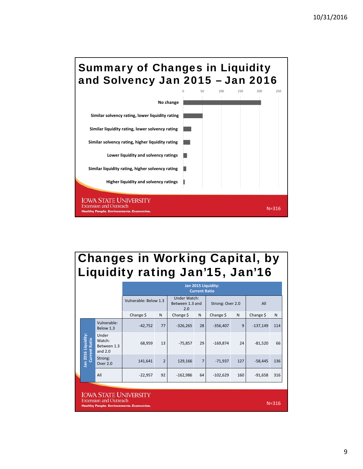

# Changes in Working Capital, by Liquidity rating Jan'15, Jan'16

|                                                               |                                             |                                             | Jan 2015 Liquidity:<br><b>Current Ratio</b>                            |                |                  |                |            |     |            |     |
|---------------------------------------------------------------|---------------------------------------------|---------------------------------------------|------------------------------------------------------------------------|----------------|------------------|----------------|------------|-----|------------|-----|
|                                                               |                                             |                                             | <b>Under Watch:</b><br>Vulnerable: Below 1.3<br>Between 1.3 and<br>2.0 |                | Strong: Over 2.0 |                | All        |     |            |     |
|                                                               |                                             |                                             | Change \$                                                              | N              | Change \$        | N              | Change \$  | N   | Change \$  | N   |
|                                                               |                                             | Vulnerable:<br>Below 1.3                    | $-42,752$                                                              | 77             | $-326,265$       | 28             | $-356,407$ | 9   | $-137,149$ | 114 |
|                                                               | Jan 2016 Liquidity:<br><b>Current Ratio</b> | Under<br>Watch:<br>Between 1.3<br>and $2.0$ | 68,959                                                                 | 13             | $-75,857$        | 29             | $-169,874$ | 24  | $-81,520$  | 66  |
|                                                               |                                             | Strong:<br>Over 2.0                         | 141,641                                                                | $\overline{2}$ | 129,166          | $\overline{7}$ | $-71,937$  | 127 | $-58,445$  | 136 |
|                                                               |                                             | All                                         | $-22,957$                                                              | 92             | $-162,986$       | 64             | $-102,629$ | 160 | $-91,658$  | 316 |
| <b>IOWA STATE UNIVERSITY</b><br><b>Extension and Outreach</b> |                                             |                                             |                                                                        |                |                  |                |            |     |            |     |
| Healthy People, Environments, Fronomies,                      |                                             |                                             |                                                                        |                |                  |                | $N = 316$  |     |            |     |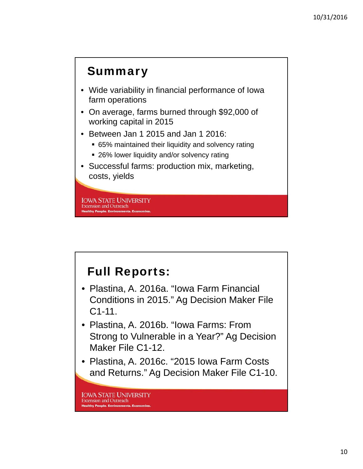#### **Summary**

- Wide variability in financial performance of Iowa farm operations
- On average, farms burned through \$92,000 of working capital in 2015
- Between Jan 1 2015 and Jan 1 2016:
	- 65% maintained their liquidity and solvency rating
	- **26% lower liquidity and/or solvency rating**
- Successful farms: production mix, marketing, costs, yields

**IOWA STATE UNIVERSITY Extension and Outreach Healthy People. Environments. E** 

#### Full Reports:

- Plastina, A. 2016a. "Iowa Farm Financial Conditions in 2015." Ag Decision Maker File C1-11.
- Plastina, A. 2016b. "Iowa Farms: From Strong to Vulnerable in a Year?" Ag Decision Maker File C1-12.
- Plastina, A. 2016c. "2015 Iowa Farm Costs and Returns." Ag Decision Maker File C1-10.

**IOWA STATE UNIVERSITY Extension and Outreach Healthy People, Environments, Eco**